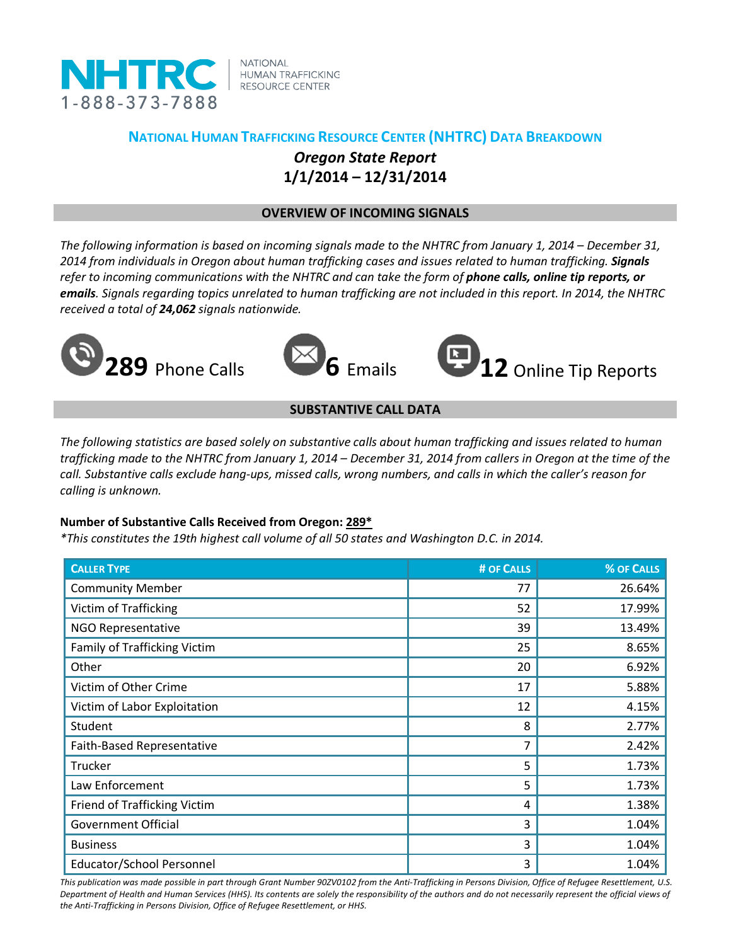

**NATIONAL HUMAN TRAFFICKING RESOURCE CENTER** 

# **NATIONAL HUMAN TRAFFICKING RESOURCE CENTER (NHTRC) DATA BREAKDOWN** *Oregon State Report* **1/1/2014 – 12/31/2014**

## **OVERVIEW OF INCOMING SIGNALS**

*The following information is based on incoming signals made to the NHTRC from January 1, 2014 – December 31, 2014 from individuals in Oregon about human trafficking cases and issues related to human trafficking. Signals refer to incoming communications with the NHTRC and can take the form of phone calls, online tip reports, or emails. Signals regarding topics unrelated to human trafficking are not included in this report. In 2014, the NHTRC received a total of 24,062 signals nationwide.*







## **SUBSTANTIVE CALL DATA**

*The following statistics are based solely on substantive calls about human trafficking and issues related to human trafficking made to the NHTRC from January 1, 2014 – December 31, 2014 from callers in Oregon at the time of the call. Substantive calls exclude hang-ups, missed calls, wrong numbers, and calls in which the caller's reason for calling is unknown.*

### **Number of Substantive Calls Received from Oregon: 289\***

*\*This constitutes the 19th highest call volume of all 50 states and Washington D.C. in 2014.*

| <b>CALLER TYPE</b>                  | # OF CALLS | % OF CALLS |
|-------------------------------------|------------|------------|
| <b>Community Member</b>             | 77         | 26.64%     |
| Victim of Trafficking               | 52         | 17.99%     |
| <b>NGO Representative</b>           | 39         | 13.49%     |
| <b>Family of Trafficking Victim</b> | 25         | 8.65%      |
| Other                               | 20         | 6.92%      |
| Victim of Other Crime               | 17         | 5.88%      |
| Victim of Labor Exploitation        | 12         | 4.15%      |
| Student                             | 8          | 2.77%      |
| Faith-Based Representative          | 7          | 2.42%      |
| Trucker                             | 5          | 1.73%      |
| Law Enforcement                     | 5          | 1.73%      |
| Friend of Trafficking Victim        | 4          | 1.38%      |
| <b>Government Official</b>          | 3          | 1.04%      |
| <b>Business</b>                     | 3          | 1.04%      |
| Educator/School Personnel           | 3          | 1.04%      |

*This publication was made possible in part through Grant Number 90ZV0102 from the Anti-Trafficking in Persons Division, Office of Refugee Resettlement, U.S. Department of Health and Human Services (HHS). Its contents are solely the responsibility of the authors and do not necessarily represent the official views of the Anti-Trafficking in Persons Division, Office of Refugee Resettlement, or HHS.*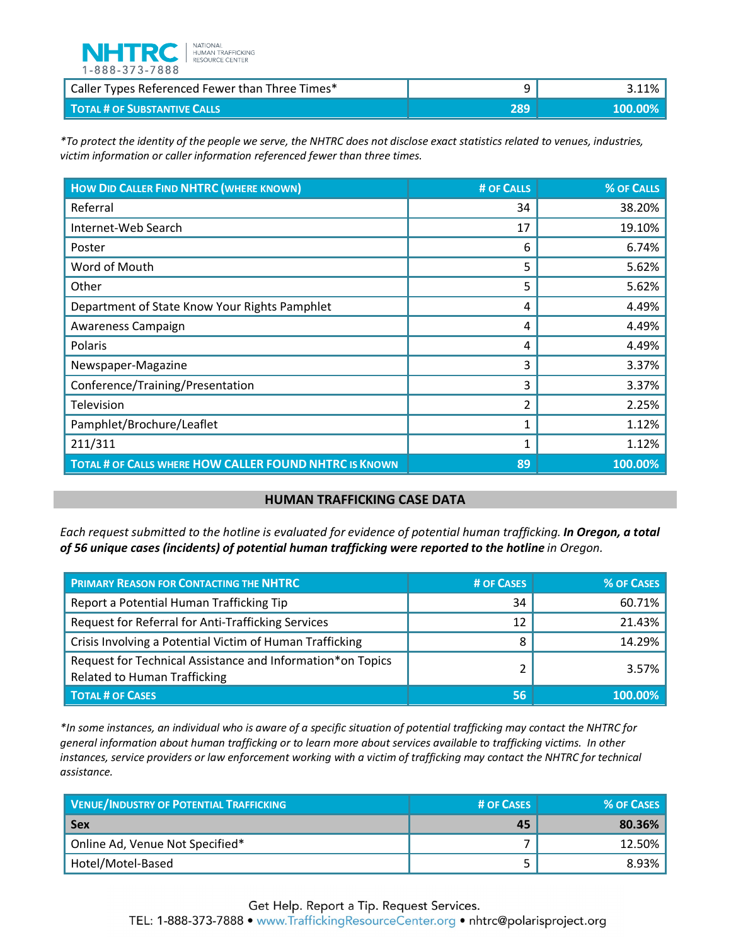

| Caller Types Referenced Fewer than Three Times* |     | .1%       |
|-------------------------------------------------|-----|-----------|
| <b>TOTAL # OF SUBSTANTIVE CALLS</b>             | 289 | \$100,00% |

*\*To protect the identity of the people we serve, the NHTRC does not disclose exact statistics related to venues, industries, victim information or caller information referenced fewer than three times.* 

| <b>HOW DID CALLER FIND NHTRC (WHERE KNOWN)</b>         | # OF CALLS | % OF CALLS |
|--------------------------------------------------------|------------|------------|
| Referral                                               | 34         | 38.20%     |
| Internet-Web Search                                    | 17         | 19.10%     |
| Poster                                                 | 6          | 6.74%      |
| Word of Mouth                                          | 5          | 5.62%      |
| Other                                                  | 5          | 5.62%      |
| Department of State Know Your Rights Pamphlet          | 4          | 4.49%      |
| Awareness Campaign                                     | 4          | 4.49%      |
| Polaris                                                | 4          | 4.49%      |
| Newspaper-Magazine                                     | 3          | 3.37%      |
| Conference/Training/Presentation                       | 3          | 3.37%      |
| Television                                             | 2          | 2.25%      |
| Pamphlet/Brochure/Leaflet                              | 1          | 1.12%      |
| 211/311                                                | 1          | 1.12%      |
| TOTAL # OF CALLS WHERE HOW CALLER FOUND NHTRC IS KNOWN | 89         | 100.00%    |

#### **HUMAN TRAFFICKING CASE DATA**

*Each request submitted to the hotline is evaluated for evidence of potential human trafficking. In Oregon, a total of 56 unique cases (incidents) of potential human trafficking were reported to the hotline in Oregon.*

| <b>PRIMARY REASON FOR CONTACTING THE NHTRC</b>                                                    | # OF CASES | <b>% OF CASES</b> |
|---------------------------------------------------------------------------------------------------|------------|-------------------|
| Report a Potential Human Trafficking Tip                                                          | 34         | 60.71%            |
| Request for Referral for Anti-Trafficking Services                                                | 12         | 21.43%            |
| Crisis Involving a Potential Victim of Human Trafficking                                          | o          | 14.29%            |
| Request for Technical Assistance and Information*on Topics<br><b>Related to Human Trafficking</b> |            | 3.57%             |
| <b>TOTAL # OF CASES</b>                                                                           | 56         | $100.00\%$        |

*\*In some instances, an individual who is aware of a specific situation of potential trafficking may contact the NHTRC for general information about human trafficking or to learn more about services available to trafficking victims. In other instances, service providers or law enforcement working with a victim of trafficking may contact the NHTRC for technical assistance.* 

| <b>VENUE/INDUSTRY OF POTENTIAL TRAFFICKING</b> | # OF CASES | % OF CASES |
|------------------------------------------------|------------|------------|
| <b>Sex</b>                                     | 45         | 80.36%     |
| Online Ad, Venue Not Specified*                |            | 12.50%     |
| Hotel/Motel-Based                              |            | 8.93%      |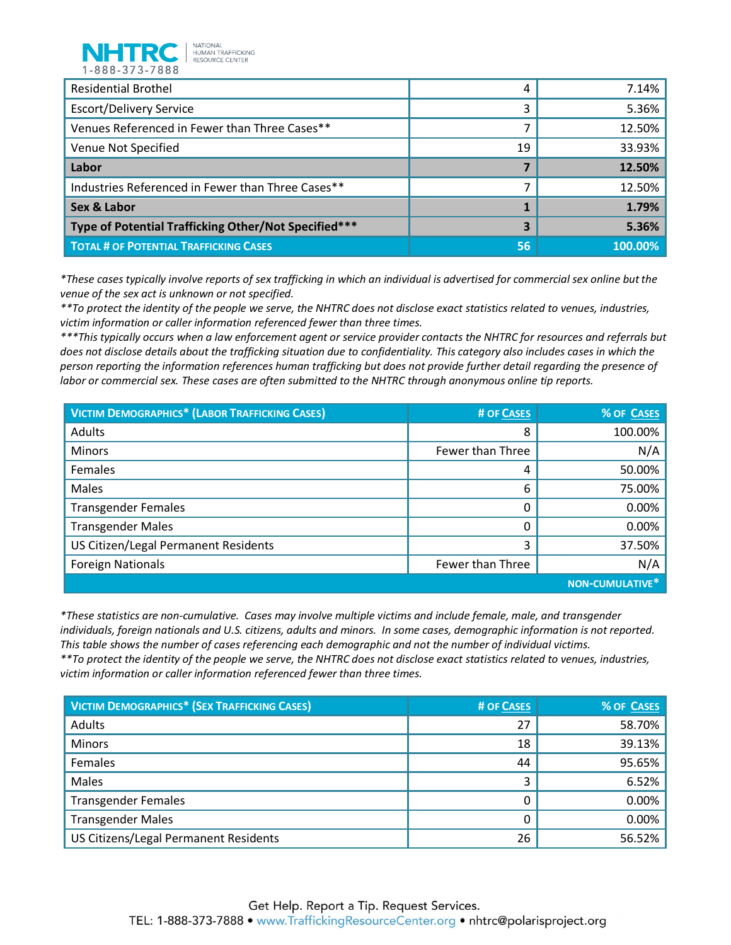

| 1-888-373-7888                                       |    |        |
|------------------------------------------------------|----|--------|
| <b>Residential Brothel</b>                           | 4  | 7.14%  |
| <b>Escort/Delivery Service</b>                       | 3  | 5.36%  |
| Venues Referenced in Fewer than Three Cases**        | 7  | 12.50% |
| Venue Not Specified                                  | 19 | 33.93% |
| Labor                                                | 7  | 12.50% |
| Industries Referenced in Fewer than Three Cases**    | 7  | 12.50% |
|                                                      |    |        |
| <b>Sex &amp; Labor</b>                               |    | 1.79%  |
| Type of Potential Trafficking Other/Not Specified*** | 3  | 5.36%  |

*\*These cases typically involve reports of sex trafficking in which an individual is advertised for commercial sex online but the venue of the sex act is unknown or not specified.*

*\*\*To protect the identity of the people we serve, the NHTRC does not disclose exact statistics related to venues, industries, victim information or caller information referenced fewer than three times.* 

*\*\*\*This typically occurs when a law enforcement agent or service provider contacts the NHTRC for resources and referrals but does not disclose details about the trafficking situation due to confidentiality. This category also includes cases in which the person reporting the information references human trafficking but does not provide further detail regarding the presence of labor or commercial sex. These cases are often submitted to the NHTRC through anonymous online tip reports.*

| <b>VICTIM DEMOGRAPHICS* (LABOR TRAFFICKING CASES)</b> | # OF CASES       | % OF CASES             |
|-------------------------------------------------------|------------------|------------------------|
| Adults                                                | 8                | 100.00%                |
| <b>Minors</b>                                         | Fewer than Three | N/A                    |
| Females                                               | 4                | 50.00%                 |
| Males                                                 | 6                | 75.00%                 |
| <b>Transgender Females</b>                            | 0                | 0.00%                  |
| <b>Transgender Males</b>                              |                  | 0.00%                  |
| US Citizen/Legal Permanent Residents                  | 3                | 37.50%                 |
| <b>Foreign Nationals</b>                              | Fewer than Three | N/A                    |
|                                                       |                  | <b>NON-CUMULATIVE*</b> |

*\*These statistics are non-cumulative. Cases may involve multiple victims and include female, male, and transgender individuals, foreign nationals and U.S. citizens, adults and minors. In some cases, demographic information is not reported. This table shows the number of cases referencing each demographic and not the number of individual victims.*

*\*\*To protect the identity of the people we serve, the NHTRC does not disclose exact statistics related to venues, industries, victim information or caller information referenced fewer than three times.* 

| <b>VICTIM DEMOGRAPHICS* (SEX TRAFFICKING CASES)</b> | # OF CASES | % OF CASES |
|-----------------------------------------------------|------------|------------|
| Adults                                              | 27         | 58.70%     |
| <b>Minors</b>                                       | 18         | 39.13%     |
| Females                                             | 44         | 95.65%     |
| Males                                               | 3          | 6.52%      |
| <b>Transgender Females</b>                          |            | 0.00%      |
| <b>Transgender Males</b>                            |            | 0.00%      |
| US Citizens/Legal Permanent Residents               | 26         | 56.52%     |